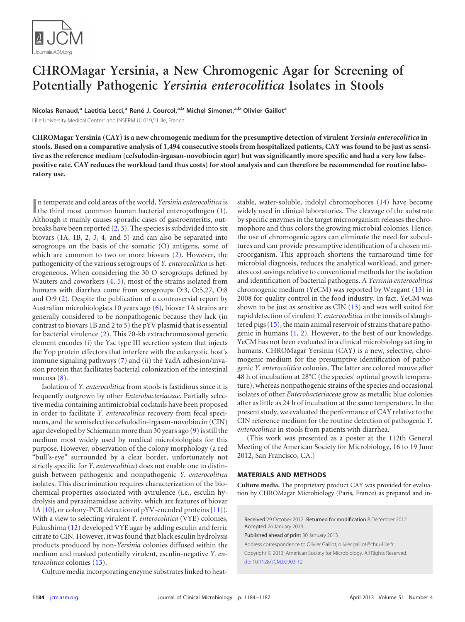

# **CHROMagar Yersinia, a New Chromogenic Agar for Screening of Potentially Pathogenic** *Yersinia enterocolitica* **Isolates in Stools**

**Nicolas Renaud, <sup>a</sup> Laetitia Lecci, <sup>a</sup> René J. Courcol, a,b Michel Simonet, a,b Olivier Gaillota**

Lille University Medical Center<sup>a</sup> and INSERM U1019,<sup>b</sup> Lille, France

**CHROMagar Yersinia (CAY) is a new chromogenic medium for the presumptive detection of virulent** *Yersinia enterocolitica* **in stools. Based on a comparative analysis of 1,494 consecutive stools from hospitalized patients, CAY was found to be just as sensitive as the reference medium (cefsulodin-irgasan-novobiocin agar) but was significantly more specific and had a very low falsepositive rate. CAY reduces the workload (and thus costs) for stool analysis and can therefore be recommended for routine laboratory use.**

In temperate and cold areas of the world, *Yersinia enterocolitica* is the third most common human bacterial enteropathogen [\(1\)](#page-3-0). n temperate and cold areas of the world, *Yersinia enterocolitica* is Although it mainly causes sporadic cases of gastroenteritis, outbreaks have been reported  $(2, 3)$  $(2, 3)$  $(2, 3)$ . The species is subdivided into six biovars (1A, 1B, 2, 3, 4, and 5) and can also be separated into serogroups on the basis of the somatic (O) antigens, some of which are common to two or more biovars [\(2\)](#page-3-1). However, the pathogenicity of the various serogroups of *Y. enterocolitica* is heterogeneous. When considering the 30 O serogroups defined by Wauters and coworkers [\(4,](#page-3-3) [5\)](#page-3-4), most of the strains isolated from humans with diarrhea come from serogroups O:3, O:5,27, O:8 and O:9 [\(2\)](#page-3-1). Despite the publication of a controversial report by Australian microbiologists 10 years ago [\(6\)](#page-3-5), biovar 1A strains are generally considered to be nonpathogenic because they lack (in contrast to biovars 1B and 2 to 5) the pYV plasmid that is essential for bacterial virulence [\(2\)](#page-3-1). This 70-kb extrachromosomal genetic element encodes (i) the Ysc type III secretion system that injects the Yop protein effectors that interfere with the eukaryotic host's immune signaling pathways [\(7\)](#page-3-6) and (ii) the YadA adhesion/invasion protein that facilitates bacterial colonization of the intestinal mucosa [\(8\)](#page-3-7).

Isolation of *Y. enterocolitica* from stools is fastidious since it is frequently outgrown by other *Enterobacteriaceae*. Partially selective media containing antimicrobial cocktails have been proposed in order to facilitate *Y. enterocolitica* recovery from fecal specimens, and the semiselective cefsulodin-irgasan-novobiocin (CIN) agar developed by Schiemann more than 30 years ago [\(9\)](#page-3-8) is still the medium most widely used by medical microbiologists for this purpose. However, observation of the colony morphology (a red "bull's-eye" surrounded by a clear border, unfortunately not strictly specific for *Y. enterocolitica*) does not enable one to distinguish between pathogenic and nonpathogenic *Y. enterocolitica* isolates. This discrimination requires characterization of the biochemical properties associated with avirulence (i.e., esculin hydrolysis and pyrazinamidase activity, which are features of biovar 1A [\[10\]](#page-3-9), or colony-PCR detection of pYV-encoded proteins [\[11\]](#page-3-10)). With a view to selecting virulent *Y. enterocolitica* (VYE) colonies, Fukushima [\(12\)](#page-3-11) developed VYE agar by adding esculin and ferric citrate to CIN. However, it was found that black esculin hydrolysis products produced by non-*Yersinia* colonies diffused within the medium and masked potentially virulent, esculin-negative *Y. enterocolitica* colonies [\(13\)](#page-3-12).

Culture media incorporating enzyme substrates linked to heat-

stable, water-soluble, indolyl chromophores [\(14\)](#page-3-13) have become widely used in clinical laboratories. The cleavage of the substrate by specific enzymes in the target microorganism releases the chromophore and thus colors the growing microbial colonies. Hence, the use of chromogenic agars can eliminate the need for subcultures and can provide presumptive identification of a chosen microorganism. This approach shortens the turnaround time for microbial diagnosis, reduces the analytical workload, and generates cost savings relative to conventional methods for the isolation and identification of bacterial pathogens. A *Yersinia enterocolitica* chromogenic medium (YeCM) was reported by Weagant [\(13\)](#page-3-12) in 2008 for quality control in the food industry. In fact, YeCM was shown to be just as sensitive as CIN [\(13\)](#page-3-12) and was well suited for rapid detection of virulent *Y. enterocolitica* in the tonsils of slaughtered pigs [\(15\)](#page-3-14), the main animal reservoir of strains that are pathogenic in humans [\(1,](#page-3-0) [2\)](#page-3-1). However, to the best of our knowledge, YeCM has not been evaluated in a clinical microbiology setting in humans. CHROMagar Yersinia (CAY) is a new, selective, chromogenic medium for the presumptive identification of pathogenic *Y. enterocolitica* colonies. The latter are colored mauve after 48 h of incubation at 28°C (the species' optimal growth temperature), whereas nonpathogenic strains of the species and occasional isolates of other *Enterobacteriaceae* grow as metallic blue colonies after as little as 24 h of incubation at the same temperature. In the present study, we evaluated the performance of CAY relative to the CIN reference medium for the routine detection of pathogenic *Y. enterocolitica* in stools from patients with diarrhea.

(This work was presented as a poster at the 112th General Meeting of the American Society for Microbiology, 16 to 19 June 2012, San Francisco, CA.)

## **MATERIALS AND METHODS**

**Culture media.** The proprietary product CAY was provided for evaluation by CHROMagar Microbiology (Paris, France) as prepared and in-

Received 29 October 2012 Returned for modification 8 December 2012 Accepted 26 January 2013

Published ahead of print 30 January 2013

Address correspondence to Olivier Gaillot, olivier.gaillot@chru-lille.fr. Copyright © 2013, American Society for Microbiology. All Rights Reserved. [doi:10.1128/JCM.02903-12](http://dx.doi.org/10.1128/JCM.02903-12)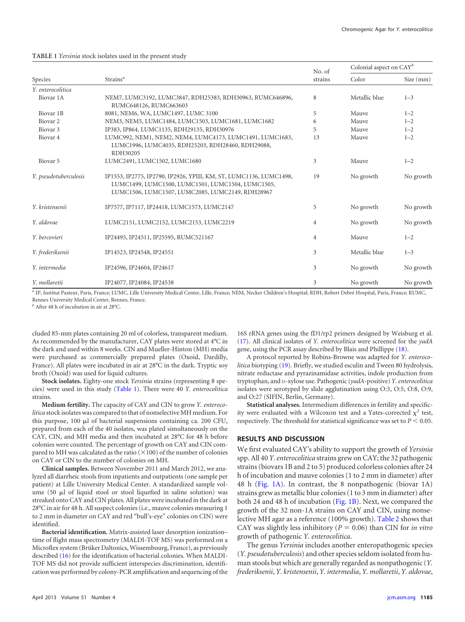#### <span id="page-1-0"></span>**TABLE 1** *Yersinia* stock isolates used in the present study

| Species               | Strains <sup><math>a</math></sup>                                                                                                                                           | No. of<br>strains | Colonial aspect on CAY <sup>b</sup> |           |
|-----------------------|-----------------------------------------------------------------------------------------------------------------------------------------------------------------------------|-------------------|-------------------------------------|-----------|
|                       |                                                                                                                                                                             |                   | Color                               | Size (mm) |
| Y. enterocolitica     |                                                                                                                                                                             |                   |                                     |           |
| Biovar 1A             | NEM7, LUMC3192, LUMC3847, RDH25383, RDH30963, RUMC646896,<br>RUMC648126, RUMC663603                                                                                         | 8                 | Metallic blue                       | $1 - 3$   |
| Biovar 1B             | 8081, NEM6, WA, LUMC1497, LUMC 3100                                                                                                                                         | 5                 | Mauve                               | $1 - 2$   |
| Biovar <sub>2</sub>   | NEM3, NEM5, LUMC1484, LUMC1503, LUMC1681, LUMC1682                                                                                                                          | 6                 | Mauve                               | $1 - 2$   |
| Biovar <sub>3</sub>   | IP383, IP864, LUMC1135, RDH29135, RDH30976                                                                                                                                  | 5                 | Mauve                               | $1 - 2$   |
| Biovar <sub>4</sub>   | LUMC992, NEM1, NEM2, NEM4, LUMC4173, LUMC1491, LUMC1683,<br>LUMC1996, LUMC4035, RDH25203, RDH28460, RDH29088,<br>RDH30205                                                   | 13                | Mauve                               | $1 - 2$   |
| Biovar <sub>5</sub>   | LUMC2491, LUMC1502, LUMC1680                                                                                                                                                | 3                 | Mauve                               | $1 - 2$   |
| Y. pseudotuberculosis | IP1553, IP2775, IP2790, IP2926, YPIII, KM, ST, LUMC1136, LUMC1498,<br>LUMC1499, LUMC1500, LUMC1501, LUMC1504, LUMC1505,<br>LUMC1506, LUMC1507, LUMC2085, LUMC2149, RDH28967 | 19                | No growth                           | No growth |
| Y. kristensenii       | IP7577, IP7117, IP24418, LUMC1573, LUMC2147                                                                                                                                 | 5                 | No growth                           | No growth |
| Y. aldovae            | LUMC2151, LUMC2152, LUMC2153, LUMC2219                                                                                                                                      | 4                 | No growth                           | No growth |
| Y. bercovieri         | IP24495, IP24511, IP25595, RUMC521167                                                                                                                                       | $\overline{4}$    | Mauve                               | $1 - 2$   |
| Y. frederiksenii      | IP14523, IP24548, IP24551                                                                                                                                                   | 3                 | Metallic blue                       | $1 - 3$   |
| Y. intermedia         | IP24596, IP24604, IP24617                                                                                                                                                   | 3                 | No growth                           | No growth |
| Y. mollaretii         | IP24077, IP24084, IP24538                                                                                                                                                   | 3                 | No growth                           | No growth |

*<sup>a</sup>* IP, Institut Pasteur, Paris, France; LUMC, Lille University Medical Center, Lille, France; NEM, Necker Children's Hospital; RDH, Robert Debré Hospital, Paris, France; RUMC, Rennes University Medical Center, Rennes, France.

*<sup>b</sup>* After 48 h of incubation in air at 28°C.

cluded 85-mm plates containing 20 ml of colorless, transparent medium. As recommended by the manufacturer, CAY plates were stored at 4°C in the dark and used within 8 weeks. CIN and Mueller-Hinton (MH) media were purchased as commercially prepared plates (Oxoid, Dardilly, France). All plates were incubated in air at 28°C in the dark. Tryptic soy broth (Oxoid) was used for liquid cultures.

**Stock isolates.** Eighty-one stock *Yersinia* strains (representing 8 species) were used in this study [\(Table 1\)](#page-1-0). There were 40 *Y. enterocolitica* strains.

**Medium fertility.** The capacity of CAY and CIN to grow *Y. enterocolitica* stock isolates was compared to that of nonselective MH medium. For this purpose, 100  $\mu$ l of bacterial suspensions containing ca. 200 CFU, prepared from each of the 40 isolates, was plated simultaneously on the CAY, CIN, and MH media and then incubated at 28°C for 48 h before colonies were counted. The percentage of growth on CAY and CIN compared to MH was calculated as the ratio  $(\times 100)$  of the number of colonies on CAY or CIN to the number of colonies on MH.

**Clinical samples.** Between November 2011 and March 2012, we analyzed all diarrheic stools from inpatients and outpatients (one sample per patient) at Lille University Medical Center. A standardized sample volume  $(50 \mu l)$  of liquid stool or stool liquefied in saline solution) was streaked onto CAY and CIN plates. All plates were incubated in the dark at 28°C in air for 48 h. All suspect colonies (i.e., mauve colonies measuring 1 to 2 mm in diameter on CAY and red "bull's-eye" colonies on CIN) were identified.

**Bacterial identification.** Matrix-assisted laser desorption ionization– time of flight mass spectrometry (MALDI-TOF MS) was performed on a Microflex system (Brüker Daltonics,Wissembourg, France), as previously described [\(16\)](#page-3-15) for the identification of bacterial colonies. When MALDI-TOF MS did not provide sufficient interspecies discrimination, identification was performed by colony-PCR amplification and sequencing of the

16S rRNA genes using the fD1/rp2 primers designed by Weisburg et al. [\(17\)](#page-3-16). All clinical isolates of *Y. enterocolitica* were screened for the *yadA* gene, using the PCR assay described by Blais and Phillippe [\(18\)](#page-3-17).

A protocol reported by Robins-Browne was adapted for *Y. enterocolitica* biotyping [\(19\)](#page-3-18). Briefly, we studied esculin and Tween 80 hydrolysis, nitrate reductase and pyrazinamidase activities, indole production from tryptophan, and D-xylose use. Pathogenic (*yadA*-positive) *Y. enterocolitica* isolates were serotyped by slide agglutination using O:3, O:5, O:8, O:9, and O:27 (SIFIN, Berlin, Germany).

**Statistical analyses.** Intermedium differences in fertility and specificity were evaluated with a Wilcoxon test and a Yates-corrected  $\chi^2$  test, respectively. The threshold for statistical significance was set to  $P < 0.05$ .

## **RESULTS AND DISCUSSION**

We first evaluated CAY's ability to support the growth of *Yersinia* spp. All 40 *Y. enterocolitica* strains grew on CAY; the 32 pathogenic strains (biovars 1B and 2 to 5) produced colorless colonies after 24 h of incubation and mauve colonies (1 to 2 mm in diameter) after 48 h [\(Fig. 1A\)](#page-2-0). In contrast, the 8 nonpathogenic (biovar 1A) strains grew as metallic blue colonies (1 to 3 mm in diameter) after both 24 and 48 h of incubation [\(Fig. 1B\)](#page-2-0). Next, we compared the growth of the 32 non-1A strains on CAY and CIN, using nonselective MH agar as a reference (100% growth). [Table 2](#page-2-1) shows that CAY was slightly less inhibitory ( $P = 0.06$ ) than CIN for *in vitro* growth of pathogenic *Y. enterocolitica*.

The genus *Yersinia* includes another enteropathogenic species (*Y. pseudotuberculosis*) and other species seldom isolated from human stools but which are generally regarded as nonpathogenic (*Y. frederiksenii*, *Y. kristensenii*, *Y. intermedia*, *Y. mollaretii*, *Y. aldovae*,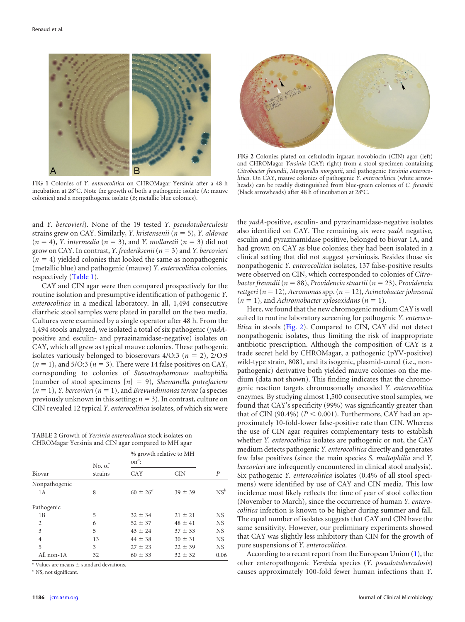

<span id="page-2-0"></span>**FIG 1** Colonies of *Y. enterocolitica* on CHROMagar Yersinia after a 48-h incubation at 28°C. Note the growth of both a pathogenic isolate (A; mauve colonies) and a nonpathogenic isolate (B; metallic blue colonies).



**FIG 2** Colonies plated on cefsulodin-irgasan-novobiocin (CIN) agar (left) and CHROMagar *Yersinia* (CAY; right) from a stool specimen containing *Citrobacter freundii*, *Morganella morganii*, and pathogenic *Yersinia enterocolitica*. On CAY, mauve colonies of pathogenic *Y. enterocolitica* (white arrowheads) can be readily distinguished from blue-green colonies of *C. freundii* (black arrowheads) after 48 h of incubation at 28°C.

and *Y. bercovieri*). None of the 19 tested *Y. pseudotuberculosis* strains grew on CAY. Similarly, *Y. kristensenii* (*n* 5), *Y. aldovae*  $(n = 4)$ , *Y. intermedia*  $(n = 3)$ , and *Y. mollaretii*  $(n = 3)$  did not grow on CAY. In contrast, *Y. frederiksenii*(*n* 3) and *Y. bercovieri*  $(n = 4)$  yielded colonies that looked the same as nonpathogenic (metallic blue) and pathogenic (mauve) *Y. enterocolitica* colonies, respectively [\(Table 1\)](#page-1-0).

CAY and CIN agar were then compared prospectively for the routine isolation and presumptive identification of pathogenic *Y. enterocolitica* in a medical laboratory. In all, 1,494 consecutive diarrheic stool samples were plated in parallel on the two media. Cultures were examined by a single operator after 48 h. From the 1,494 stools analyzed, we isolated a total of six pathogenic (*yadA*positive and esculin- and pyrazinamidase-negative) isolates on CAY, which all grew as typical mauve colonies. These pathogenic isolates variously belonged to bioserovars  $4/O:3$  ( $n = 2$ ),  $2/O:9$  $(n = 1)$ , and 5/O:3  $(n = 3)$ . There were 14 false positives on CAY, corresponding to colonies of *Stenotrophomonas maltophilia* (number of stool specimens [*n*] 9), *Shewanella putrefaciens*  $(n = 1)$ , *Y. bercovieri*  $(n = 1)$ , and *Brevundimonas terrae* (a species previously unknown in this setting;  $n = 3$ ). In contrast, culture on CIN revealed 12 typical *Y. enterocolitica* isolates, of which six were

<span id="page-2-1"></span>**TABLE 2** Growth of *Yersinia enterocolitica* stock isolates on CHROMagar Yersinia and CIN agar compared to MH agar

|                | No. of  | % growth relative to MH<br>$on^a$ : |             |                 |
|----------------|---------|-------------------------------------|-------------|-----------------|
| Biovar         | strains | CAY                                 | CIN         | P               |
| Nonpathogenic  |         |                                     |             |                 |
| 1A             | 8       | $60 \pm 26^{\circ}$                 | $39 \pm 39$ | NS <sup>b</sup> |
| Pathogenic     |         |                                     |             |                 |
| 1B             | 5       | $32 \pm 34$                         | $21 \pm 21$ | NS              |
| 2              | 6       | $52 \pm 37$                         | $48 \pm 41$ | <b>NS</b>       |
| 3              | 5       | $43 \pm 24$                         | $37 \pm 33$ | <b>NS</b>       |
| $\overline{4}$ | 13      | $44 \pm 38$                         | $30 \pm 31$ | <b>NS</b>       |
| 5              | 3       | $27 \pm 23$                         | $22 \pm 39$ | <b>NS</b>       |
| All non-1A     | 32      | $60 \pm 33$                         | $32 \pm 32$ | 0.06            |

 $a$ <sup>a</sup> Values are means  $\pm$  standard deviations.

*<sup>b</sup>* NS, not significant.

<span id="page-2-2"></span>the *yadA*-positive, esculin- and pyrazinamidase-negative isolates also identified on CAY. The remaining six were *yadA* negative, esculin and pyrazinamidase positive, belonged to biovar 1A, and had grown on CAY as blue colonies; they had been isolated in a clinical setting that did not suggest yersiniosis. Besides those six nonpathogenic *Y. enterocolitica* isolates, 137 false-positive results were observed on CIN, which corresponded to colonies of *Citrobacter freundii* (*n* 88), *Providencia stuartii* (*n* 23), *Providencia rettgeri*(*n* 12), *Aeromonas*spp. (*n* 12), *Acinetobacter johnsonii*  $(n = 1)$ , and *Achromobacter xylosoxidans*  $(n = 1)$ .

Here, we found that the new chromogenic medium CAY is well suited to routine laboratory screening for pathogenic *Y. enterocolitica* in stools [\(Fig. 2\)](#page-2-2). Compared to CIN, CAY did not detect nonpathogenic isolates, thus limiting the risk of inappropriate antibiotic prescription. Although the composition of CAY is a trade secret held by CHROMagar, a pathogenic (pYV-positive) wild-type strain, 8081, and its isogenic, plasmid-cured (i.e., nonpathogenic) derivative both yielded mauve colonies on the medium (data not shown). This finding indicates that the chromogenic reaction targets chromosomally encoded *Y. enterocolitica* enzymes. By studying almost 1,500 consecutive stool samples, we found that CAY's specificity (99%) was significantly greater than that of CIN (90.4%) ( $P < 0.001$ ). Furthermore, CAY had an approximately 10-fold-lower false-positive rate than CIN. Whereas the use of CIN agar requires complementary tests to establish whether *Y. enterocolitica* isolates are pathogenic or not, the CAY medium detects pathogenic *Y. enterocolitica* directly and generates few false positives (since the main species *S. maltophilia* and *Y. bercovieri* are infrequently encountered in clinical stool analysis). Six pathogenic *Y. enterocolitica* isolates (0.4% of all stool specimens) were identified by use of CAY and CIN media. This low incidence most likely reflects the time of year of stool collection (November to March), since the occurrence of human *Y. enterocolitica* infection is known to be higher during summer and fall. The equal number of isolates suggests that CAY and CIN have the same sensitivity. However, our preliminary experiments showed that CAY was slightly less inhibitory than CIN for the growth of pure suspensions of *Y. enterocolitica*.

According to a recent report from the European Union [\(1\)](#page-3-0), the other enteropathogenic *Yersinia* species (*Y. pseudotuberculosis*) causes approximately 100-fold fewer human infections than *Y.*